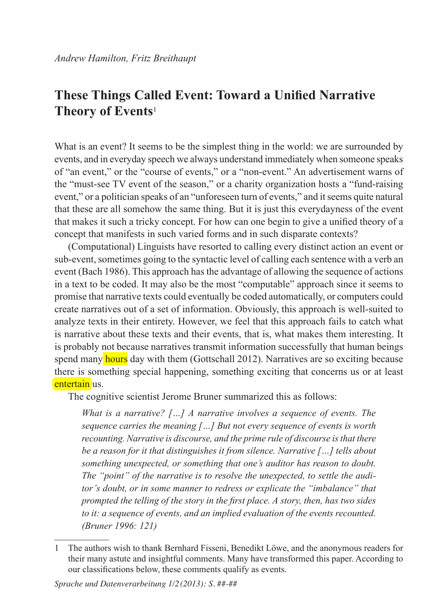# **These Things Called Event: Toward a Unified Narrative Theory of Events**<sup>1</sup>

What is an event? It seems to be the simplest thing in the world: we are surrounded by events, and in everyday speech we always understand immediately when someone speaks of "an event," or the "course of events," or a "non-event." An advertisement warns of the "must-see TV event of the season," or a charity organization hosts a "fund-raising event," or a politician speaks of an "unforeseen turn of events," and it seems quite natural that these are all somehow the same thing. But it is just this everydayness of the event that makes it such a tricky concept. For how can one begin to give a unified theory of a concept that manifests in such varied forms and in such disparate contexts?

(Computational) Linguists have resorted to calling every distinct action an event or sub-event, sometimes going to the syntactic level of calling each sentence with a verb an event (Bach 1986). This approach has the advantage of allowing the sequence of actions in a text to be coded. It may also be the most "computable" approach since it seems to promise that narrative texts could eventually be coded automatically, or computers could create narratives out of a set of information. Obviously, this approach is well-suited to analyze texts in their entirety. However, we feel that this approach fails to catch what is narrative about these texts and their events, that is, what makes them interesting. It is probably not because narratives transmit information successfully that human beings spend many hours day with them (Gottschall 2012). Narratives are so exciting because there is something special happening, something exciting that concerns us or at least entertain us.

The cognitive scientist Jerome Bruner summarized this as follows:

*What is a narrative? […] A narrative involves a sequence of events. The sequence carries the meaning […] But not every sequence of events is worth recounting. Narrative is discourse, and the prime rule of discourse is that there be a reason for it that distinguishes it from silence. Narrative […] tells about something unexpected, or something that one's auditor has reason to doubt. The "point" of the narrative is to resolve the unexpected, to settle the auditor's doubt, or in some manner to redress or explicate the "imbalance" that prompted the telling of the story in the first place. A story, then, has two sides to it: a sequence of events, and an implied evaluation of the events recounted. (Bruner 1996: 121)*

<sup>1</sup> The authors wish to thank Bernhard Fisseni, Benedikt Löwe, and the anonymous readers for their many astute and insightful comments. Many have transformed this paper. According to our classifications below, these comments qualify as events.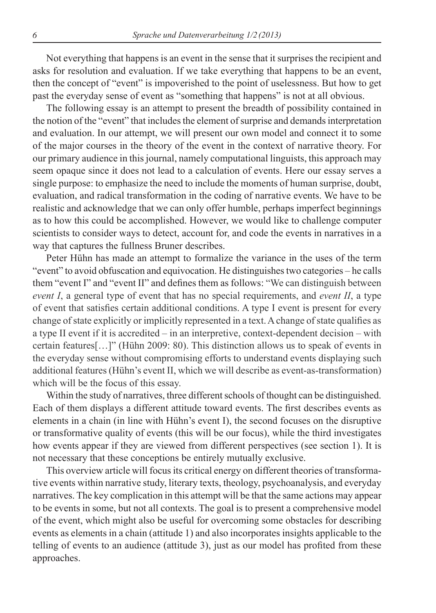Not everything that happens is an event in the sense that it surprises the recipient and asks for resolution and evaluation. If we take everything that happens to be an event, then the concept of "event" is impoverished to the point of uselessness. But how to get past the everyday sense of event as "something that happens" is not at all obvious.

The following essay is an attempt to present the breadth of possibility contained in the notion of the "event" that includes the element of surprise and demands interpretation and evaluation. In our attempt, we will present our own model and connect it to some of the major courses in the theory of the event in the context of narrative theory. For our primary audience in this journal, namely computational linguists, this approach may seem opaque since it does not lead to a calculation of events. Here our essay serves a single purpose: to emphasize the need to include the moments of human surprise, doubt, evaluation, and radical transformation in the coding of narrative events. We have to be realistic and acknowledge that we can only offer humble, perhaps imperfect beginnings as to how this could be accomplished. However, we would like to challenge computer scientists to consider ways to detect, account for, and code the events in narratives in a way that captures the fullness Bruner describes.

Peter Hühn has made an attempt to formalize the variance in the uses of the term "event" to avoid obfuscation and equivocation. He distinguishes two categories – he calls them "event I" and "event II" and defines them as follows: "We can distinguish between *event I*, a general type of event that has no special requirements, and *event II*, a type of event that satisfies certain additional conditions. A type I event is present for every change of state explicitly or implicitly represented in a text. A change of state qualifies as a type II event if it is accredited – in an interpretive, context-dependent decision – with certain features[…]" (Hühn 2009: 80). This distinction allows us to speak of events in the everyday sense without compromising efforts to understand events displaying such additional features (Hühn's event II, which we will describe as event-as-transformation) which will be the focus of this essay.

Within the study of narratives, three different schools of thought can be distinguished. Each of them displays a different attitude toward events. The first describes events as elements in a chain (in line with Hühn's event I), the second focuses on the disruptive or transformative quality of events (this will be our focus), while the third investigates how events appear if they are viewed from different perspectives (see section 1). It is not necessary that these conceptions be entirely mutually exclusive.

This overview article will focus its critical energy on different theories of transformative events within narrative study, literary texts, theology, psychoanalysis, and everyday narratives. The key complication in this attempt will be that the same actions may appear to be events in some, but not all contexts. The goal is to present a comprehensive model of the event, which might also be useful for overcoming some obstacles for describing events as elements in a chain (attitude 1) and also incorporates insights applicable to the telling of events to an audience (attitude 3), just as our model has profited from these approaches.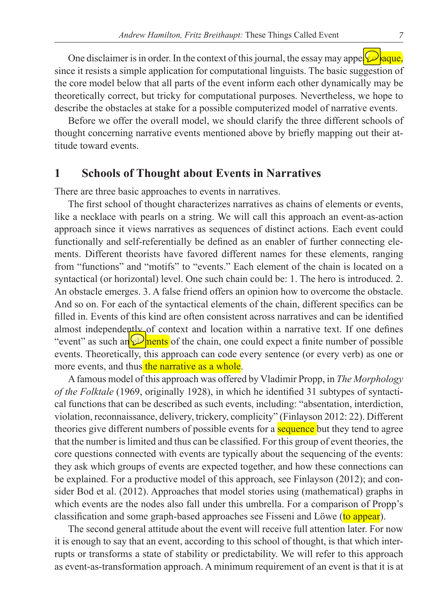One disclaimer is in order. In the context of this journal, the essay may appel  $\mathcal{Q}$  aque, since it resists a simple application for computational linguists. The basic suggestion of the core model below that all parts of the event inform each other dynamically may be theoretically correct, but tricky for computational purposes. Nevertheless, we hope to describe the obstacles at stake for a possible computerized model of narrative events.

Before we offer the overall model, we should clarify the three different schools of thought concerning narrative events mentioned above by briefly mapping out their attitude toward events.

### **1 Schools of Thought about Events in Narratives**

There are three basic approaches to events in narratives.

The first school of thought characterizes narratives as chains of elements or events, like a necklace with pearls on a string. We will call this approach an event-as-action approach since it views narratives as sequences of distinct actions. Each event could functionally and self-referentially be defined as an enabler of further connecting elements. Different theorists have favored different names for these elements, ranging from "functions" and "motifs" to "events." Each element of the chain is located on a syntactical (or horizontal) level. One such chain could be: 1. The hero is introduced. 2. An obstacle emerges. 3. A false friend offers an opinion how to overcome the obstacle. And so on. For each of the syntactical elements of the chain, different specifics can be filled in. Events of this kind are often consistent across narratives and can be identified almost independently of context and location within a narrative text. If one defines "event" as such an  $\mathbb{Q}$  nents of the chain, one could expect a finite number of possible events. Theoretically, this approach can code every sentence (or every verb) as one or more events, and thus the narrative as a whole.

A famous model of this approach was offered by Vladimir Propp, in *The Morphology of the Folktale* (1969, originally 1928), in which he identified 31 subtypes of syntactical functions that can be described as such events, including: "absentation, interdiction, violation, reconnaissance, delivery, trickery, complicity" (Finlayson 2012: 22). Different theories give different numbers of possible events for a **sequence** but they tend to agree that the number is limited and thus can be classified. For this group of event theories, the core questions connected with events are typically about the sequencing of the events: they ask which groups of events are expected together, and how these connections can be explained. For a productive model of this approach, see Finlayson (2012); and consider Bod et al. (2012). Approaches that model stories using (mathematical) graphs in which events are the nodes also fall under this umbrella. For a comparison of Propp's classification and some graph-based approaches see Fisseni and Löwe (to appear).

The second general attitude about the event will receive full attention later. For now it is enough to say that an event, according to this school of thought, is that which interrupts or transforms a state of stability or predictability. We will refer to this approach as event-as-transformation approach. A minimum requirement of an event is that it is at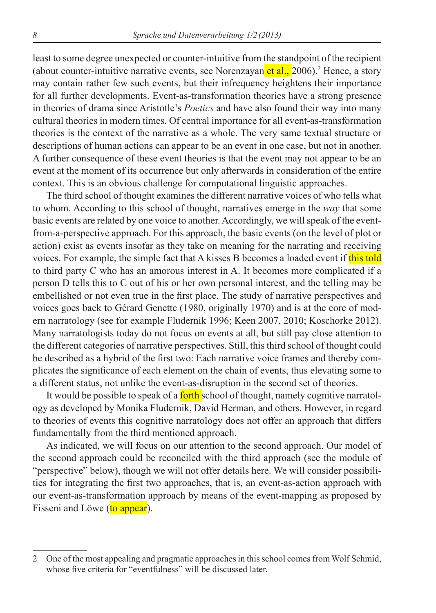least to some degree unexpected or counter-intuitive from the standpoint of the recipient (about counter-intuitive narrative events, see Norenzayan et al., 2006).<sup>2</sup> Hence, a story may contain rather few such events, but their infrequency heightens their importance for all further developments. Event-as-transformation theories have a strong presence in theories of drama since Aristotle's *Poetics* and have also found their way into many cultural theories in modern times. Of central importance for all event-as-transformation theories is the context of the narrative as a whole. The very same textual structure or descriptions of human actions can appear to be an event in one case, but not in another. A further consequence of these event theories is that the event may not appear to be an event at the moment of its occurrence but only afterwards in consideration of the entire context. This is an obvious challenge for computational linguistic approaches.

The third school of thought examines the different narrative voices of who tells what to whom. According to this school of thought, narratives emerge in the *way* that some basic events are related by one voice to another. Accordingly, we will speak of the eventfrom-a-perspective approach. For this approach, the basic events (on the level of plot or action) exist as events insofar as they take on meaning for the narrating and receiving voices. For example, the simple fact that A kisses B becomes a loaded event if this told to third party C who has an amorous interest in A. It becomes more complicated if a person D tells this to C out of his or her own personal interest, and the telling may be embellished or not even true in the first place. The study of narrative perspectives and voices goes back to Gérard Genette (1980, originally 1970) and is at the core of modern narratology (see for example Fludernik 1996; Keen 2007, 2010; Koschorke 2012). Many narratologists today do not focus on events at all, but still pay close attention to the different categories of narrative perspectives. Still, this third school of thought could be described as a hybrid of the first two: Each narrative voice frames and thereby complicates the significance of each element on the chain of events, thus elevating some to a different status, not unlike the event-as-disruption in the second set of theories.

It would be possible to speak of a **forth** school of thought, namely cognitive narratology as developed by Monika Fludernik, David Herman, and others. However, in regard to theories of events this cognitive narratology does not offer an approach that differs fundamentally from the third mentioned approach.

As indicated, we will focus on our attention to the second approach. Our model of the second approach could be reconciled with the third approach (see the module of "perspective" below), though we will not offer details here. We will consider possibilities for integrating the first two approaches, that is, an event-as-action approach with our event-as-transformation approach by means of the event-mapping as proposed by Fisseni and Löwe (to appear).

<sup>2</sup> One of the most appealing and pragmatic approaches in this school comes from Wolf Schmid, whose five criteria for "eventfulness" will be discussed later.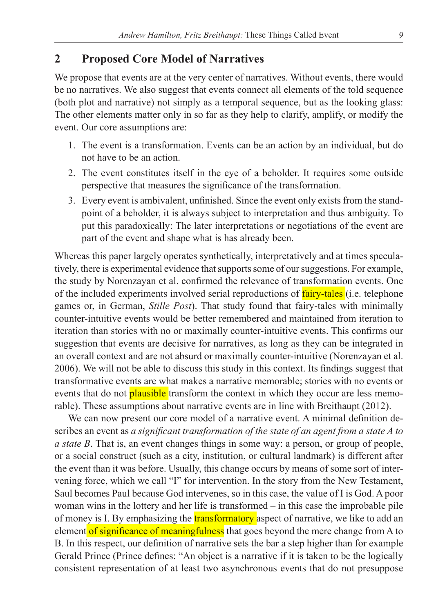# **2 Proposed Core Model of Narratives**

We propose that events are at the very center of narratives. Without events, there would be no narratives. We also suggest that events connect all elements of the told sequence (both plot and narrative) not simply as a temporal sequence, but as the looking glass: The other elements matter only in so far as they help to clarify, amplify, or modify the event. Our core assumptions are:

- 1. The event is a transformation. Events can be an action by an individual, but do not have to be an action.
- 2. The event constitutes itself in the eye of a beholder. It requires some outside perspective that measures the significance of the transformation.
- 3. Every event is ambivalent, unfinished. Since the event only exists from the standpoint of a beholder, it is always subject to interpretation and thus ambiguity. To put this paradoxically: The later interpretations or negotiations of the event are part of the event and shape what is has already been.

Whereas this paper largely operates synthetically, interpretatively and at times speculatively, there is experimental evidence that supports some of our suggestions. For example, the study by Norenzayan et al. confirmed the relevance of transformation events. One of the included experiments involved serial reproductions of **fairy-tales** (i.e. telephone games or, in German, *Stille Post*). That study found that fairy-tales with minimally counter-intuitive events would be better remembered and maintained from iteration to iteration than stories with no or maximally counter-intuitive events. This confirms our suggestion that events are decisive for narratives, as long as they can be integrated in an overall context and are not absurd or maximally counter-intuitive (Norenzayan et al. 2006). We will not be able to discuss this study in this context. Its findings suggest that transformative events are what makes a narrative memorable; stories with no events or events that do not **plausible** transform the context in which they occur are less memorable). These assumptions about narrative events are in line with Breithaupt (2012).

We can now present our core model of a narrative event. A minimal definition describes an event as *a significant transformation of the state of an agent from a state A to a state B*. That is, an event changes things in some way: a person, or group of people, or a social construct (such as a city, institution, or cultural landmark) is different after the event than it was before. Usually, this change occurs by means of some sort of intervening force, which we call "I" for intervention. In the story from the New Testament, Saul becomes Paul because God intervenes, so in this case, the value of I is God. A poor woman wins in the lottery and her life is transformed – in this case the improbable pile of money is I. By emphasizing the **transformatory** aspect of narrative, we like to add an element of significance of meaningfulness that goes beyond the mere change from A to B. In this respect, our definition of narrative sets the bar a step higher than for example Gerald Prince (Prince defines: "An object is a narrative if it is taken to be the logically consistent representation of at least two asynchronous events that do not presuppose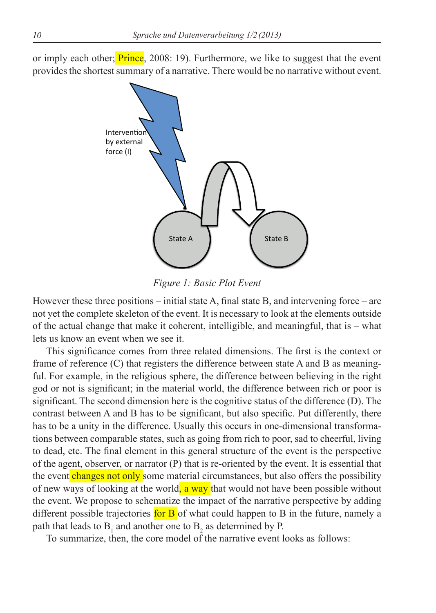or imply each other; **Prince**, 2008: 19). Furthermore, we like to suggest that the event provides the shortest summary of a narrative. There would be no narrative without event.



*Figure 1: Basic Plot Event*

However these three positions – initial state A, final state B, and intervening force – are not yet the complete skeleton of the event. It is necessary to look at the elements outside of the actual change that make it coherent, intelligible, and meaningful, that is – what lets us know an event when we see it.

This significance comes from three related dimensions. The first is the context or frame of reference (C) that registers the difference between state A and B as meaningful. For example, in the religious sphere, the difference between believing in the right god or not is significant; in the material world, the difference between rich or poor is significant. The second dimension here is the cognitive status of the difference (D). The contrast between A and B has to be significant, but also specific. Put differently, there has to be a unity in the difference. Usually this occurs in one-dimensional transformations between comparable states, such as going from rich to poor, sad to cheerful, living to dead, etc. The final element in this general structure of the event is the perspective of the agent, observer, or narrator (P) that is re-oriented by the event. It is essential that the event changes not only some material circumstances, but also offers the possibility of new ways of looking at the world, a way that would not have been possible without the event. We propose to schematize the impact of the narrative perspective by adding different possible trajectories for  $\overline{B}$  of what could happen to  $\overline{B}$  in the future, namely a path that leads to  $B_1$  and another one to  $B_2$  as determined by P.

To summarize, then, the core model of the narrative event looks as follows: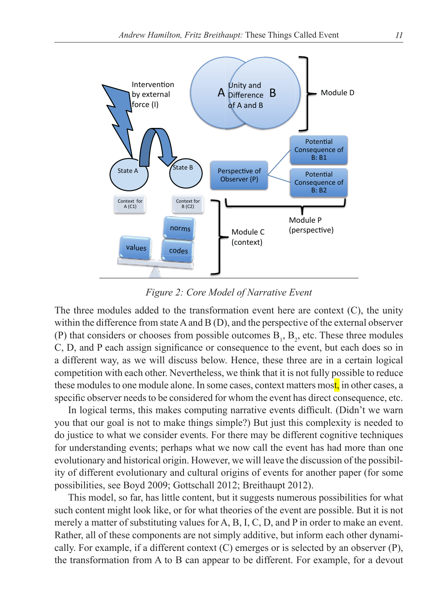

*Figure 2: Core Model of Narrative Event*

The three modules added to the transformation event here are context (C), the unity within the difference from state A and B (D), and the perspective of the external observer (P) that considers or chooses from possible outcomes  $B_1$ ,  $B_2$ , etc. These three modules C, D, and P each assign significance or consequence to the event, but each does so in a different way, as we will discuss below. Hence, these three are in a certain logical competition with each other. Nevertheless, we think that it is not fully possible to reduce these modules to one module alone. In some cases, context matters most, in other cases, a specific observer needs to be considered for whom the event has direct consequence, etc.

In logical terms, this makes computing narrative events difficult. (Didn't we warn you that our goal is not to make things simple?) But just this complexity is needed to do justice to what we consider events. For there may be different cognitive techniques for understanding events; perhaps what we now call the event has had more than one evolutionary and historical origin. However, we will leave the discussion of the possibility of different evolutionary and cultural origins of events for another paper (for some possibilities, see Boyd 2009; Gottschall 2012; Breithaupt 2012).

This model, so far, has little content, but it suggests numerous possibilities for what such content might look like, or for what theories of the event are possible. But it is not merely a matter of substituting values for A, B, I, C, D, and P in order to make an event. Rather, all of these components are not simply additive, but inform each other dynamically. For example, if a different context  $(C)$  emerges or is selected by an observer  $(P)$ , the transformation from A to B can appear to be different. For example, for a devout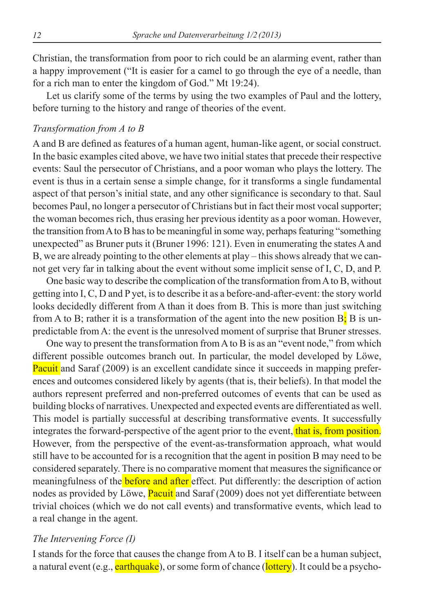Christian, the transformation from poor to rich could be an alarming event, rather than a happy improvement ("It is easier for a camel to go through the eye of a needle, than for a rich man to enter the kingdom of God." Mt 19:24).

Let us clarify some of the terms by using the two examples of Paul and the lottery, before turning to the history and range of theories of the event.

#### *Transformation from A to B*

A and B are defined as features of a human agent, human-like agent, or social construct. In the basic examples cited above, we have two initial states that precede their respective events: Saul the persecutor of Christians, and a poor woman who plays the lottery. The event is thus in a certain sense a simple change, for it transforms a single fundamental aspect of that person's initial state, and any other significance is secondary to that. Saul becomes Paul, no longer a persecutor of Christians but in fact their most vocal supporter; the woman becomes rich, thus erasing her previous identity as a poor woman. However, the transition from A to B has to be meaningful in some way, perhaps featuring "something unexpected" as Bruner puts it (Bruner 1996: 121). Even in enumerating the states A and B, we are already pointing to the other elements at play – this shows already that we cannot get very far in talking about the event without some implicit sense of I, C, D, and P.

One basic way to describe the complication of the transformation from A to B, without getting into I, C, D and P yet, is to describe it as a before-and-after-event: the story world looks decidedly different from A than it does from B. This is more than just switching from A to B; rather it is a transformation of the agent into the new position  $B_i$ ; B is unpredictable from A: the event is the unresolved moment of surprise that Bruner stresses.

One way to present the transformation from A to B is as an "event node," from which different possible outcomes branch out. In particular, the model developed by Löwe, Pacuit and Saraf (2009) is an excellent candidate since it succeeds in mapping preferences and outcomes considered likely by agents (that is, their beliefs). In that model the authors represent preferred and non-preferred outcomes of events that can be used as building blocks of narratives. Unexpected and expected events are differentiated as well. This model is partially successful at describing transformative events. It successfully integrates the forward-perspective of the agent prior to the event, that is, from position. However, from the perspective of the event-as-transformation approach, what would still have to be accounted for is a recognition that the agent in position B may need to be considered separately. There is no comparative moment that measures the significance or meaningfulness of the **before and after** effect. Put differently: the description of action nodes as provided by Löwe, **Pacuit** and Saraf (2009) does not yet differentiate between trivial choices (which we do not call events) and transformative events, which lead to a real change in the agent.

#### *The Intervening Force (I)*

I stands for the force that causes the change from A to B. I itself can be a human subject, a natural event (e.g., earthquake), or some form of chance (lottery). It could be a psycho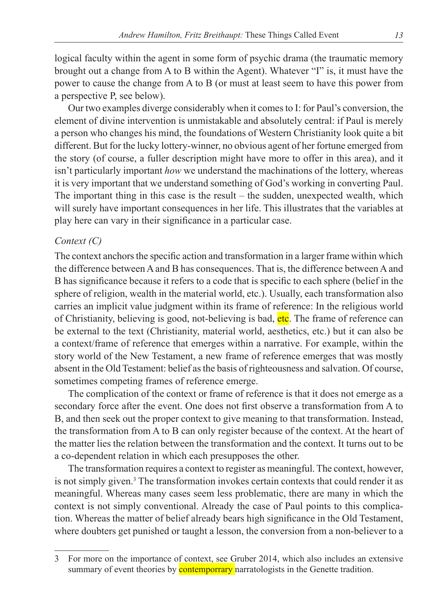logical faculty within the agent in some form of psychic drama (the traumatic memory brought out a change from A to B within the Agent). Whatever "I" is, it must have the power to cause the change from A to B (or must at least seem to have this power from a perspective P, see below).

Our two examples diverge considerably when it comes to I: for Paul's conversion, the element of divine intervention is unmistakable and absolutely central: if Paul is merely a person who changes his mind, the foundations of Western Christianity look quite a bit different. But for the lucky lottery-winner, no obvious agent of her fortune emerged from the story (of course, a fuller description might have more to offer in this area), and it isn't particularly important *how* we understand the machinations of the lottery, whereas it is very important that we understand something of God's working in converting Paul. The important thing in this case is the result – the sudden, unexpected wealth, which will surely have important consequences in her life. This illustrates that the variables at play here can vary in their significance in a particular case.

#### *Context (C)*

The context anchors the specific action and transformation in a larger frame within which the difference between A and B has consequences. That is, the difference between A and B has significance because it refers to a code that is specific to each sphere (belief in the sphere of religion, wealth in the material world, etc.). Usually, each transformation also carries an implicit value judgment within its frame of reference: In the religious world of Christianity, believing is good, not-believing is bad, etc. The frame of reference can be external to the text (Christianity, material world, aesthetics, etc.) but it can also be a context/frame of reference that emerges within a narrative. For example, within the story world of the New Testament, a new frame of reference emerges that was mostly absent in the Old Testament: belief as the basis of righteousness and salvation. Of course, sometimes competing frames of reference emerge.

The complication of the context or frame of reference is that it does not emerge as a secondary force after the event. One does not first observe a transformation from A to B, and then seek out the proper context to give meaning to that transformation. Instead, the transformation from A to B can only register because of the context. At the heart of the matter lies the relation between the transformation and the context. It turns out to be a co-dependent relation in which each presupposes the other.

The transformation requires a context to register as meaningful. The context, however, is not simply given.<sup>3</sup> The transformation invokes certain contexts that could render it as meaningful. Whereas many cases seem less problematic, there are many in which the context is not simply conventional. Already the case of Paul points to this complication. Whereas the matter of belief already bears high significance in the Old Testament, where doubters get punished or taught a lesson, the conversion from a non-believer to a

<sup>3</sup> For more on the importance of context, see Gruber 2014, which also includes an extensive summary of event theories by **contemporrary** narratologists in the Genette tradition.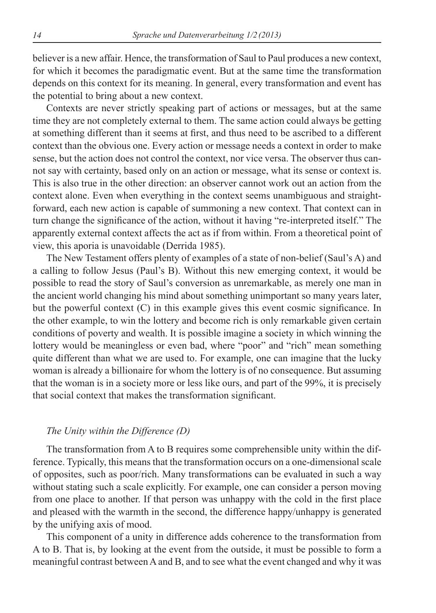believer is a new affair. Hence, the transformation of Saul to Paul produces a new context, for which it becomes the paradigmatic event. But at the same time the transformation depends on this context for its meaning. In general, every transformation and event has the potential to bring about a new context.

Contexts are never strictly speaking part of actions or messages, but at the same time they are not completely external to them. The same action could always be getting at something different than it seems at first, and thus need to be ascribed to a different context than the obvious one. Every action or message needs a context in order to make sense, but the action does not control the context, nor vice versa. The observer thus cannot say with certainty, based only on an action or message, what its sense or context is. This is also true in the other direction: an observer cannot work out an action from the context alone. Even when everything in the context seems unambiguous and straightforward, each new action is capable of summoning a new context. That context can in turn change the significance of the action, without it having "re-interpreted itself." The apparently external context affects the act as if from within. From a theoretical point of view, this aporia is unavoidable (Derrida 1985).

The New Testament offers plenty of examples of a state of non-belief (Saul's A) and a calling to follow Jesus (Paul's B). Without this new emerging context, it would be possible to read the story of Saul's conversion as unremarkable, as merely one man in the ancient world changing his mind about something unimportant so many years later, but the powerful context (C) in this example gives this event cosmic significance. In the other example, to win the lottery and become rich is only remarkable given certain conditions of poverty and wealth. It is possible imagine a society in which winning the lottery would be meaningless or even bad, where "poor" and "rich" mean something quite different than what we are used to. For example, one can imagine that the lucky woman is already a billionaire for whom the lottery is of no consequence. But assuming that the woman is in a society more or less like ours, and part of the 99%, it is precisely that social context that makes the transformation significant.

#### *The Unity within the Difference (D)*

The transformation from A to B requires some comprehensible unity within the difference. Typically, this means that the transformation occurs on a one-dimensional scale of opposites, such as poor/rich. Many transformations can be evaluated in such a way without stating such a scale explicitly. For example, one can consider a person moving from one place to another. If that person was unhappy with the cold in the first place and pleased with the warmth in the second, the difference happy/unhappy is generated by the unifying axis of mood.

This component of a unity in difference adds coherence to the transformation from A to B. That is, by looking at the event from the outside, it must be possible to form a meaningful contrast between A and B, and to see what the event changed and why it was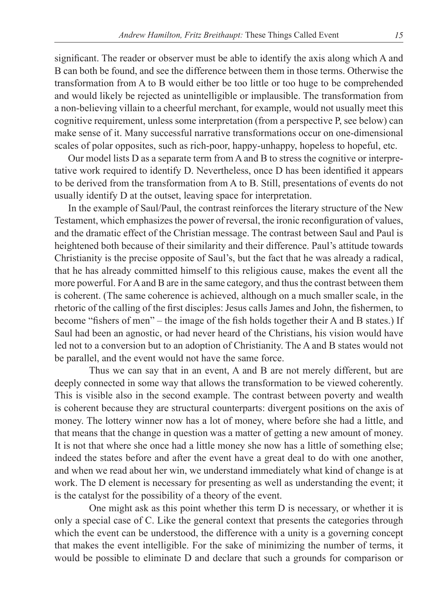significant. The reader or observer must be able to identify the axis along which A and B can both be found, and see the difference between them in those terms. Otherwise the transformation from A to B would either be too little or too huge to be comprehended and would likely be rejected as unintelligible or implausible. The transformation from a non-believing villain to a cheerful merchant, for example, would not usually meet this cognitive requirement, unless some interpretation (from a perspective P, see below) can make sense of it. Many successful narrative transformations occur on one-dimensional scales of polar opposites, such as rich-poor, happy-unhappy, hopeless to hopeful, etc.

Our model lists D as a separate term from A and B to stress the cognitive or interpretative work required to identify D. Nevertheless, once D has been identified it appears to be derived from the transformation from A to B. Still, presentations of events do not usually identify D at the outset, leaving space for interpretation.

In the example of Saul/Paul, the contrast reinforces the literary structure of the New Testament, which emphasizes the power of reversal, the ironic reconfiguration of values, and the dramatic effect of the Christian message. The contrast between Saul and Paul is heightened both because of their similarity and their difference. Paul's attitude towards Christianity is the precise opposite of Saul's, but the fact that he was already a radical, that he has already committed himself to this religious cause, makes the event all the more powerful. For A and B are in the same category, and thus the contrast between them is coherent. (The same coherence is achieved, although on a much smaller scale, in the rhetoric of the calling of the first disciples: Jesus calls James and John, the fishermen, to become "fishers of men" – the image of the fish holds together their A and B states.) If Saul had been an agnostic, or had never heard of the Christians, his vision would have led not to a conversion but to an adoption of Christianity. The A and B states would not be parallel, and the event would not have the same force.

Thus we can say that in an event, A and B are not merely different, but are deeply connected in some way that allows the transformation to be viewed coherently. This is visible also in the second example. The contrast between poverty and wealth is coherent because they are structural counterparts: divergent positions on the axis of money. The lottery winner now has a lot of money, where before she had a little, and that means that the change in question was a matter of getting a new amount of money. It is not that where she once had a little money she now has a little of something else; indeed the states before and after the event have a great deal to do with one another, and when we read about her win, we understand immediately what kind of change is at work. The D element is necessary for presenting as well as understanding the event; it is the catalyst for the possibility of a theory of the event.

One might ask as this point whether this term D is necessary, or whether it is only a special case of C. Like the general context that presents the categories through which the event can be understood, the difference with a unity is a governing concept that makes the event intelligible. For the sake of minimizing the number of terms, it would be possible to eliminate D and declare that such a grounds for comparison or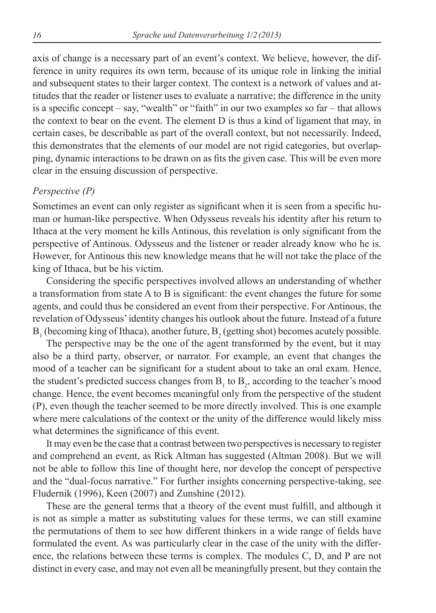axis of change is a necessary part of an event's context. We believe, however, the difference in unity requires its own term, because of its unique role in linking the initial and subsequent states to their larger context. The context is a network of values and attitudes that the reader or listener uses to evaluate a narrative; the difference in the unity is a specific concept – say, "wealth" or "faith" in our two examples so far – that allows the context to bear on the event. The element D is thus a kind of ligament that may, in certain cases, be describable as part of the overall context, but not necessarily. Indeed, this demonstrates that the elements of our model are not rigid categories, but overlapping, dynamic interactions to be drawn on as fits the given case. This will be even more clear in the ensuing discussion of perspective.

#### *Perspective (P)*

Sometimes an event can only register as significant when it is seen from a specific human or human-like perspective. When Odysseus reveals his identity after his return to Ithaca at the very moment he kills Antinous, this revelation is only significant from the perspective of Antinous. Odysseus and the listener or reader already know who he is. However, for Antinous this new knowledge means that he will not take the place of the king of Ithaca, but be his victim.

Considering the specific perspectives involved allows an understanding of whether a transformation from state A to B is significant: the event changes the future for some agents, and could thus be considered an event from their perspective. For Antinous, the revelation of Odysseus' identity changes his outlook about the future. Instead of a future  $B_1$  (becoming king of Ithaca), another future,  $B_2$  (getting shot) becomes acutely possible.

The perspective may be the one of the agent transformed by the event, but it may also be a third party, observer, or narrator. For example, an event that changes the mood of a teacher can be significant for a student about to take an oral exam. Hence, the student's predicted success changes from  $B_1$  to  $B_2$ , according to the teacher's mood change. Hence, the event becomes meaningful only from the perspective of the student (P), even though the teacher seemed to be more directly involved. This is one example where mere calculations of the context or the unity of the difference would likely miss what determines the significance of this event.

It may even be the case that a contrast between two perspectives is necessary to register and comprehend an event, as Rick Altman has suggested (Altman 2008). But we will not be able to follow this line of thought here, nor develop the concept of perspective and the "dual-focus narrative." For further insights concerning perspective-taking, see Fludernik (1996), Keen (2007) and Zunshine (2012).

These are the general terms that a theory of the event must fulfill, and although it is not as simple a matter as substituting values for these terms, we can still examine the permutations of them to see how different thinkers in a wide range of fields have formulated the event. As was particularly clear in the case of the unity with the difference, the relations between these terms is complex. The modules C, D, and P are not distinct in every case, and may not even all be meaningfully present, but they contain the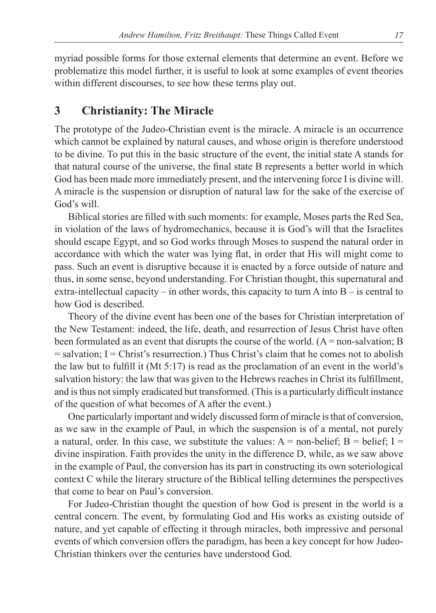myriad possible forms for those external elements that determine an event. Before we problematize this model further, it is useful to look at some examples of event theories within different discourses, to see how these terms play out.

# **3 Christianity: The Miracle**

The prototype of the Judeo-Christian event is the miracle. A miracle is an occurrence which cannot be explained by natural causes, and whose origin is therefore understood to be divine. To put this in the basic structure of the event, the initial state A stands for that natural course of the universe, the final state B represents a better world in which God has been made more immediately present, and the intervening force I is divine will. A miracle is the suspension or disruption of natural law for the sake of the exercise of God's will.

Biblical stories are filled with such moments: for example, Moses parts the Red Sea, in violation of the laws of hydromechanics, because it is God's will that the Israelites should escape Egypt, and so God works through Moses to suspend the natural order in accordance with which the water was lying flat, in order that His will might come to pass. Such an event is disruptive because it is enacted by a force outside of nature and thus, in some sense, beyond understanding. For Christian thought, this supernatural and extra-intellectual capacity – in other words, this capacity to turn A into  $B -$  is central to how God is described.

Theory of the divine event has been one of the bases for Christian interpretation of the New Testament: indeed, the life, death, and resurrection of Jesus Christ have often been formulated as an event that disrupts the course of the world.  $(A = non-salvation; B$  $=$  salvation; I  $=$  Christ's resurrection.) Thus Christ's claim that he comes not to abolish the law but to fulfill it (Mt 5:17) is read as the proclamation of an event in the world's salvation history: the law that was given to the Hebrews reaches in Christ its fulfillment, and is thus not simply eradicated but transformed. (This is a particularly difficult instance of the question of what becomes of A after the event.)

One particularly important and widely discussed form of miracle is that of conversion, as we saw in the example of Paul, in which the suspension is of a mental, not purely a natural, order. In this case, we substitute the values:  $A =$  non-belief;  $B =$  belief;  $I =$ divine inspiration. Faith provides the unity in the difference D, while, as we saw above in the example of Paul, the conversion has its part in constructing its own soteriological context C while the literary structure of the Biblical telling determines the perspectives that come to bear on Paul's conversion.

For Judeo-Christian thought the question of how God is present in the world is a central concern. The event, by formulating God and His works as existing outside of nature, and yet capable of effecting it through miracles, both impressive and personal events of which conversion offers the paradigm, has been a key concept for how Judeo-Christian thinkers over the centuries have understood God.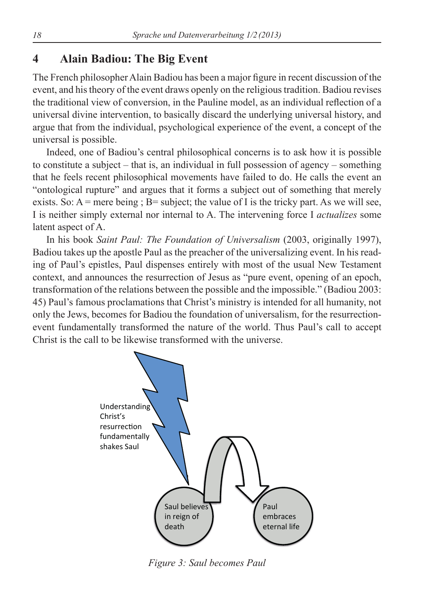# **4 Alain Badiou: The Big Event**

The French philosopher Alain Badiou has been a major figure in recent discussion of the event, and his theory of the event draws openly on the religious tradition. Badiou revises the traditional view of conversion, in the Pauline model, as an individual reflection of a universal divine intervention, to basically discard the underlying universal history, and argue that from the individual, psychological experience of the event, a concept of the universal is possible.

Indeed, one of Badiou's central philosophical concerns is to ask how it is possible to constitute a subject – that is, an individual in full possession of agency – something that he feels recent philosophical movements have failed to do. He calls the event an "ontological rupture" and argues that it forms a subject out of something that merely exists. So:  $A$  = mere being ;  $B$  = subject; the value of I is the tricky part. As we will see, I is neither simply external nor internal to A. The intervening force I *actualizes* some latent aspect of A.

In his book *Saint Paul: The Foundation of Universalism* (2003, originally 1997), Badiou takes up the apostle Paul as the preacher of the universalizing event. In his reading of Paul's epistles, Paul dispenses entirely with most of the usual New Testament context, and announces the resurrection of Jesus as "pure event, opening of an epoch, transformation of the relations between the possible and the impossible." (Badiou 2003: 45) Paul's famous proclamations that Christ's ministry is intended for all humanity, not only the Jews, becomes for Badiou the foundation of universalism, for the resurrectionevent fundamentally transformed the nature of the world. Thus Paul's call to accept Christ is the call to be likewise transformed with the universe.



*Figure 3: Saul becomes Paul*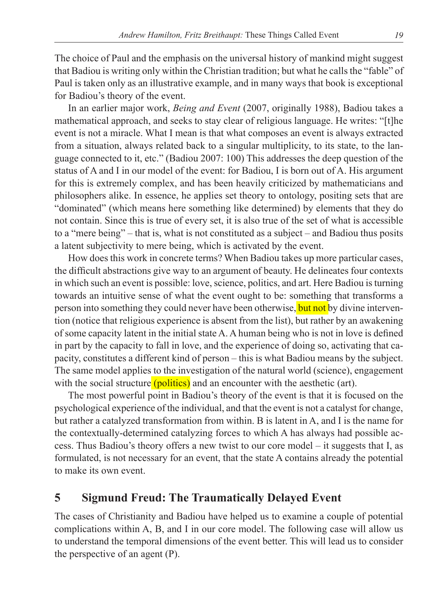The choice of Paul and the emphasis on the universal history of mankind might suggest that Badiou is writing only within the Christian tradition; but what he calls the "fable" of Paul is taken only as an illustrative example, and in many ways that book is exceptional for Badiou's theory of the event.

In an earlier major work, *Being and Event* (2007, originally 1988), Badiou takes a mathematical approach, and seeks to stay clear of religious language. He writes: "[t]he event is not a miracle. What I mean is that what composes an event is always extracted from a situation, always related back to a singular multiplicity, to its state, to the language connected to it, etc." (Badiou 2007: 100) This addresses the deep question of the status of A and I in our model of the event: for Badiou, I is born out of A. His argument for this is extremely complex, and has been heavily criticized by mathematicians and philosophers alike. In essence, he applies set theory to ontology, positing sets that are "dominated" (which means here something like determined) by elements that they do not contain. Since this is true of every set, it is also true of the set of what is accessible to a "mere being" – that is, what is not constituted as a subject – and Badiou thus posits a latent subjectivity to mere being, which is activated by the event.

How does this work in concrete terms? When Badiou takes up more particular cases, the difficult abstractions give way to an argument of beauty. He delineates four contexts in which such an event is possible: love, science, politics, and art. Here Badiou is turning towards an intuitive sense of what the event ought to be: something that transforms a person into something they could never have been otherwise, but not by divine intervention (notice that religious experience is absent from the list), but rather by an awakening of some capacity latent in the initial state A. A human being who is not in love is defined in part by the capacity to fall in love, and the experience of doing so, activating that capacity, constitutes a different kind of person – this is what Badiou means by the subject. The same model applies to the investigation of the natural world (science), engagement with the social structure  $(politics)$  and an encounter with the aesthetic (art).

The most powerful point in Badiou's theory of the event is that it is focused on the psychological experience of the individual, and that the event is not a catalyst for change, but rather a catalyzed transformation from within. B is latent in A, and I is the name for the contextually-determined catalyzing forces to which A has always had possible access. Thus Badiou's theory offers a new twist to our core model – it suggests that I, as formulated, is not necessary for an event, that the state A contains already the potential to make its own event.

## **5 Sigmund Freud: The Traumatically Delayed Event**

The cases of Christianity and Badiou have helped us to examine a couple of potential complications within A, B, and I in our core model. The following case will allow us to understand the temporal dimensions of the event better. This will lead us to consider the perspective of an agent (P).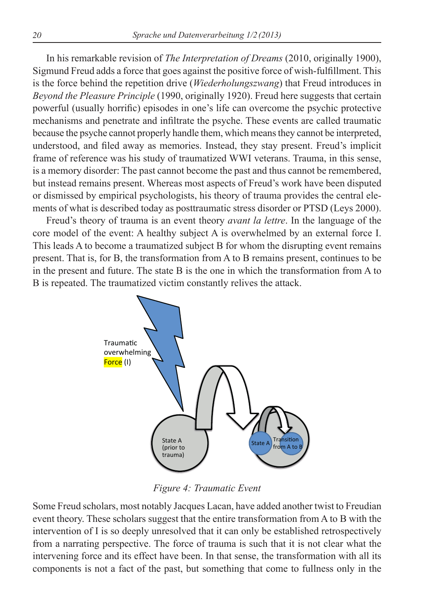In his remarkable revision of *The Interpretation of Dreams* (2010, originally 1900), Sigmund Freud adds a force that goes against the positive force of wish-fulfi llment. This is the force behind the repetition drive (*Wiederholungszwang*) that Freud introduces in *Beyond the Pleasure Principle* (1990, originally 1920). Freud here suggests that certain powerful (usually horrific) episodes in one's life can overcome the psychic protective mechanisms and penetrate and infiltrate the psyche. These events are called traumatic because the psyche cannot properly handle them, which means they cannot be interpreted, understood, and filed away as memories. Instead, they stay present. Freud's implicit frame of reference was his study of traumatized WWI veterans. Trauma, in this sense, is a memory disorder: The past cannot become the past and thus cannot be remembered, but instead remains present. Whereas most aspects of Freud's work have been disputed or dismissed by empirical psychologists, his theory of trauma provides the central elements of what is described today as posttraumatic stress disorder or PTSD (Leys 2000).

Freud's theory of trauma is an event theory *avant la lettre*. In the language of the core model of the event: A healthy subject A is overwhelmed by an external force I. This leads A to become a traumatized subject B for whom the disrupting event remains present. That is, for B, the transformation from A to B remains present, continues to be in the present and future. The state B is the one in which the transformation from A to B is repeated. The traumatized victim constantly relives the attack.



*Figure 4: Traumatic Event*

Some Freud scholars, most notably Jacques Lacan, have added another twist to Freudian event theory. These scholars suggest that the entire transformation from A to B with the intervention of I is so deeply unresolved that it can only be established retrospectively from a narrating perspective. The force of trauma is such that it is not clear what the intervening force and its effect have been. In that sense, the transformation with all its components is not a fact of the past, but something that come to fullness only in the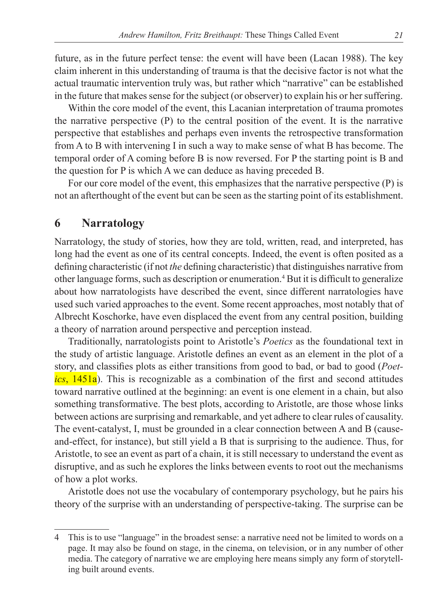future, as in the future perfect tense: the event will have been (Lacan 1988). The key claim inherent in this understanding of trauma is that the decisive factor is not what the actual traumatic intervention truly was, but rather which "narrative" can be established in the future that makes sense for the subject (or observer) to explain his or her suffering.

Within the core model of the event, this Lacanian interpretation of trauma promotes the narrative perspective (P) to the central position of the event. It is the narrative perspective that establishes and perhaps even invents the retrospective transformation from A to B with intervening I in such a way to make sense of what B has become. The temporal order of A coming before B is now reversed. For P the starting point is B and the question for P is which A we can deduce as having preceded B.

For our core model of the event, this emphasizes that the narrative perspective (P) is not an afterthought of the event but can be seen as the starting point of its establishment.

### **6 Narratology**

Narratology, the study of stories, how they are told, written, read, and interpreted, has long had the event as one of its central concepts. Indeed, the event is often posited as a defining characteristic (if not *the* defining characteristic) that distinguishes narrative from other language forms, such as description or enumeration.4 But it is difficult to generalize about how narratologists have described the event, since different narratologies have used such varied approaches to the event. Some recent approaches, most notably that of Albrecht Koschorke, have even displaced the event from any central position, building a theory of narration around perspective and perception instead.

Traditionally, narratologists point to Aristotle's *Poetics* as the foundational text in the study of artistic language. Aristotle defines an event as an element in the plot of a story, and classifies plots as either transitions from good to bad, or bad to good (*Poetics*, 1451a). This is recognizable as a combination of the first and second attitudes toward narrative outlined at the beginning: an event is one element in a chain, but also something transformative. The best plots, according to Aristotle, are those whose links between actions are surprising and remarkable, and yet adhere to clear rules of causality. The event-catalyst, I, must be grounded in a clear connection between A and B (causeand-effect, for instance), but still yield a B that is surprising to the audience. Thus, for Aristotle, to see an event as part of a chain, it is still necessary to understand the event as disruptive, and as such he explores the links between events to root out the mechanisms of how a plot works.

Aristotle does not use the vocabulary of contemporary psychology, but he pairs his theory of the surprise with an understanding of perspective-taking. The surprise can be

<sup>4</sup> This is to use "language" in the broadest sense: a narrative need not be limited to words on a page. It may also be found on stage, in the cinema, on television, or in any number of other media. The category of narrative we are employing here means simply any form of storytelling built around events.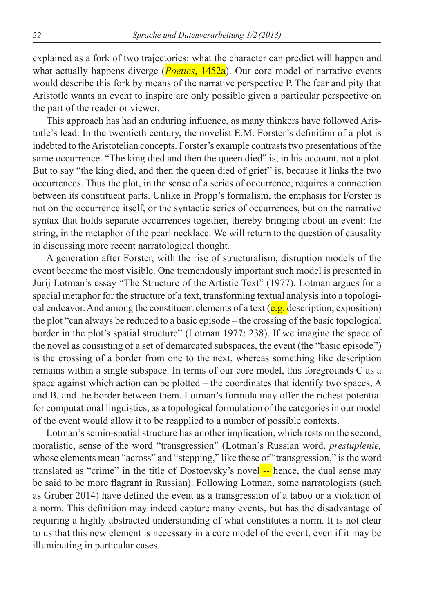explained as a fork of two trajectories: what the character can predict will happen and what actually happens diverge (*Poetics*, 1452a). Our core model of narrative events would describe this fork by means of the narrative perspective P. The fear and pity that Aristotle wants an event to inspire are only possible given a particular perspective on the part of the reader or viewer.

This approach has had an enduring influence, as many thinkers have followed Aristotle's lead. In the twentieth century, the novelist E.M. Forster's definition of a plot is indebted to the Aristotelian concepts. Forster's example contrasts two presentations of the same occurrence. "The king died and then the queen died" is, in his account, not a plot. But to say "the king died, and then the queen died of grief" is, because it links the two occurrences. Thus the plot, in the sense of a series of occurrence, requires a connection between its constituent parts. Unlike in Propp's formalism, the emphasis for Forster is not on the occurrence itself, or the syntactic series of occurrences, but on the narrative syntax that holds separate occurrences together, thereby bringing about an event: the string, in the metaphor of the pearl necklace. We will return to the question of causality in discussing more recent narratological thought.

A generation after Forster, with the rise of structuralism, disruption models of the event became the most visible. One tremendously important such model is presented in Jurij Lotman's essay "The Structure of the Artistic Text" (1977). Lotman argues for a spacial metaphor for the structure of a text, transforming textual analysis into a topological endeavor. And among the constituent elements of a text  $(e.g.,$  description, exposition) the plot "can always be reduced to a basic episode – the crossing of the basic topological border in the plot's spatial structure" (Lotman 1977: 238). If we imagine the space of the novel as consisting of a set of demarcated subspaces, the event (the "basic episode") is the crossing of a border from one to the next, whereas something like description remains within a single subspace. In terms of our core model, this foregrounds C as a space against which action can be plotted – the coordinates that identify two spaces, A and B, and the border between them. Lotman's formula may offer the richest potential for computational linguistics, as a topological formulation of the categories in our model of the event would allow it to be reapplied to a number of possible contexts.

Lotman's semio-spatial structure has another implication, which rests on the second, moralistic, sense of the word "transgression" (Lotman's Russian word, *prestuplenie,*  whose elements mean "across" and "stepping," like those of "transgression," is the word translated as "crime" in the title of Dostoevsky's novel -- hence, the dual sense may be said to be more flagrant in Russian). Following Lotman, some narratologists (such as Gruber 2014) have defined the event as a transgression of a taboo or a violation of a norm. This definition may indeed capture many events, but has the disadvantage of requiring a highly abstracted understanding of what constitutes a norm. It is not clear to us that this new element is necessary in a core model of the event, even if it may be illuminating in particular cases.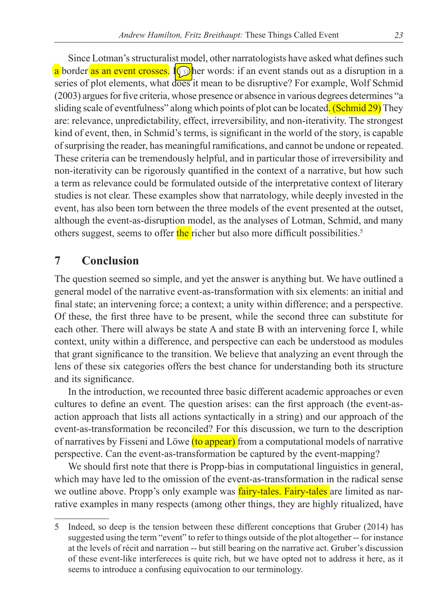Since Lotman's structuralist model, other narratologists have asked what defines such a border as an event crosses. **O**her words: if an event stands out as a disruption in a series of plot elements, what does it mean to be disruptive? For example, Wolf Schmid (2003) argues for five criteria, whose presence or absence in various degrees determines "a sliding scale of eventfulness" along which points of plot can be located. (Schmid 29) They are: relevance, unpredictability, effect, irreversibility, and non-iterativity. The strongest kind of event, then, in Schmid's terms, is significant in the world of the story, is capable of surprising the reader, has meaningful ramifications, and cannot be undone or repeated. These criteria can be tremendously helpful, and in particular those of irreversibility and non-iterativity can be rigorously quantified in the context of a narrative, but how such a term as relevance could be formulated outside of the interpretative context of literary studies is not clear. These examples show that narratology, while deeply invested in the event, has also been torn between the three models of the event presented at the outset, although the event-as-disruption model, as the analyses of Lotman, Schmid, and many others suggest, seems to offer the richer but also more difficult possibilities.<sup>5</sup>

# **7 Conclusion**

The question seemed so simple, and yet the answer is anything but. We have outlined a general model of the narrative event-as-transformation with six elements: an initial and final state; an intervening force; a context; a unity within difference; and a perspective. Of these, the first three have to be present, while the second three can substitute for each other. There will always be state A and state B with an intervening force I, while context, unity within a difference, and perspective can each be understood as modules that grant significance to the transition. We believe that analyzing an event through the lens of these six categories offers the best chance for understanding both its structure and its significance.

In the introduction, we recounted three basic different academic approaches or even cultures to define an event. The question arises: can the first approach (the event-asaction approach that lists all actions syntactically in a string) and our approach of the event-as-transformation be reconciled? For this discussion, we turn to the description of narratives by Fisseni and Löwe (to appear) from a computational models of narrative perspective. Can the event-as-transformation be captured by the event-mapping?

We should first note that there is Propp-bias in computational linguistics in general, which may have led to the omission of the event-as-transformation in the radical sense we outline above. Propp's only example was **fairy-tales**. Fairy-tales are limited as narrative examples in many respects (among other things, they are highly ritualized, have

<sup>5</sup> Indeed, so deep is the tension between these different conceptions that Gruber (2014) has suggested using the term "event" to refer to things outside of the plot altogether -- for instance at the levels of récit and narration -- but still bearing on the narrative act. Gruber's discussion of these event-like interfereces is quite rich, but we have opted not to address it here, as it seems to introduce a confusing equivocation to our terminology.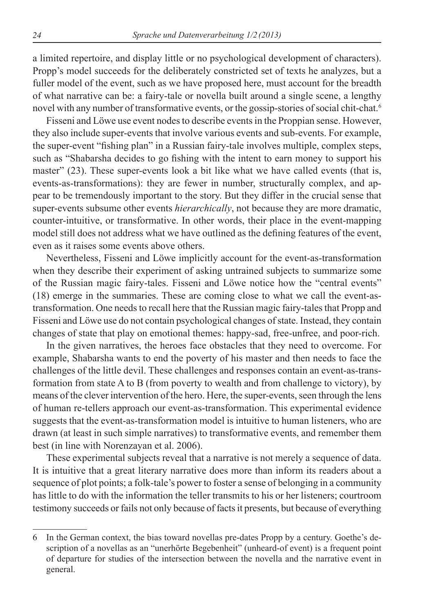a limited repertoire, and display little or no psychological development of characters). Propp's model succeeds for the deliberately constricted set of texts he analyzes, but a fuller model of the event, such as we have proposed here, must account for the breadth of what narrative can be: a fairy-tale or novella built around a single scene, a lengthy novel with any number of transformative events, or the gossip-stories of social chit-chat.<sup>6</sup>

Fisseni and Löwe use event nodes to describe events in the Proppian sense. However, they also include super-events that involve various events and sub-events. For example, the super-event "fishing plan" in a Russian fairy-tale involves multiple, complex steps, such as "Shabarsha decides to go fishing with the intent to earn money to support his master" (23). These super-events look a bit like what we have called events (that is, events-as-transformations): they are fewer in number, structurally complex, and appear to be tremendously important to the story. But they differ in the crucial sense that super-events subsume other events *hierarchically*, not because they are more dramatic, counter-intuitive, or transformative. In other words, their place in the event-mapping model still does not address what we have outlined as the defining features of the event, even as it raises some events above others.

Nevertheless, Fisseni and Löwe implicitly account for the event-as-transformation when they describe their experiment of asking untrained subjects to summarize some of the Russian magic fairy-tales. Fisseni and Löwe notice how the "central events" (18) emerge in the summaries. These are coming close to what we call the event-astransformation. One needs to recall here that the Russian magic fairy-tales that Propp and Fisseni and Löwe use do not contain psychological changes of state. Instead, they contain changes of state that play on emotional themes: happy-sad, free-unfree, and poor-rich.

In the given narratives, the heroes face obstacles that they need to overcome. For example, Shabarsha wants to end the poverty of his master and then needs to face the challenges of the little devil. These challenges and responses contain an event-as-transformation from state A to B (from poverty to wealth and from challenge to victory), by means of the clever intervention of the hero. Here, the super-events, seen through the lens of human re-tellers approach our event-as-transformation. This experimental evidence suggests that the event-as-transformation model is intuitive to human listeners, who are drawn (at least in such simple narratives) to transformative events, and remember them best (in line with Norenzayan et al. 2006).

These experimental subjects reveal that a narrative is not merely a sequence of data. It is intuitive that a great literary narrative does more than inform its readers about a sequence of plot points; a folk-tale's power to foster a sense of belonging in a community has little to do with the information the teller transmits to his or her listeners; courtroom testimony succeeds or fails not only because of facts it presents, but because of everything

<sup>6</sup> In the German context, the bias toward novellas pre-dates Propp by a century. Goethe's description of a novellas as an "unerhörte Begebenheit" (unheard-of event) is a frequent point of departure for studies of the intersection between the novella and the narrative event in general.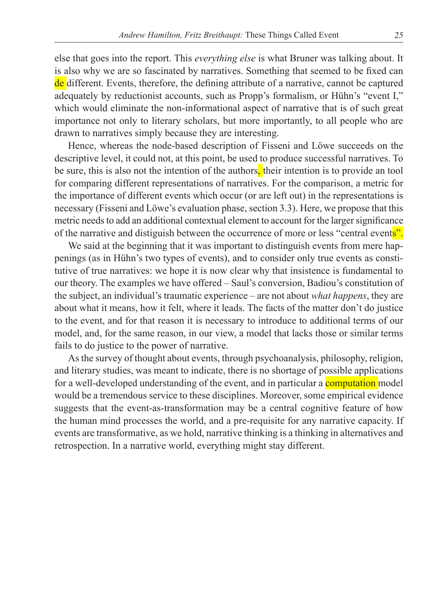else that goes into the report. This *everything else* is what Bruner was talking about. It is also why we are so fascinated by narratives. Something that seemed to be fixed can de different. Events, therefore, the defining attribute of a narrative, cannot be captured adequately by reductionist accounts, such as Propp's formalism, or Hühn's "event I," which would eliminate the non-informational aspect of narrative that is of such great importance not only to literary scholars, but more importantly, to all people who are drawn to narratives simply because they are interesting.

Hence, whereas the node-based description of Fisseni and Löwe succeeds on the descriptive level, it could not, at this point, be used to produce successful narratives. To be sure, this is also not the intention of the authors, their intention is to provide an tool for comparing different representations of narratives. For the comparison, a metric for the importance of different events which occur (or are left out) in the representations is necessary (Fisseni and Löwe's evaluation phase, section 3.3). Here, we propose that this metric needs to add an additional contextual element to account for the larger significance of the narrative and distiguish between the occurrence of more or less "central events".

We said at the beginning that it was important to distinguish events from mere happenings (as in Hühn's two types of events), and to consider only true events as constitutive of true narratives: we hope it is now clear why that insistence is fundamental to our theory. The examples we have offered – Saul's conversion, Badiou's constitution of the subject, an individual's traumatic experience – are not about *what happens*, they are about what it means, how it felt, where it leads. The facts of the matter don't do justice to the event, and for that reason it is necessary to introduce to additional terms of our model, and, for the same reason, in our view, a model that lacks those or similar terms fails to do justice to the power of narrative.

As the survey of thought about events, through psychoanalysis, philosophy, religion, and literary studies, was meant to indicate, there is no shortage of possible applications for a well-developed understanding of the event, and in particular a computation model would be a tremendous service to these disciplines. Moreover, some empirical evidence suggests that the event-as-transformation may be a central cognitive feature of how the human mind processes the world, and a pre-requisite for any narrative capacity. If events are transformative, as we hold, narrative thinking is a thinking in alternatives and retrospection. In a narrative world, everything might stay different.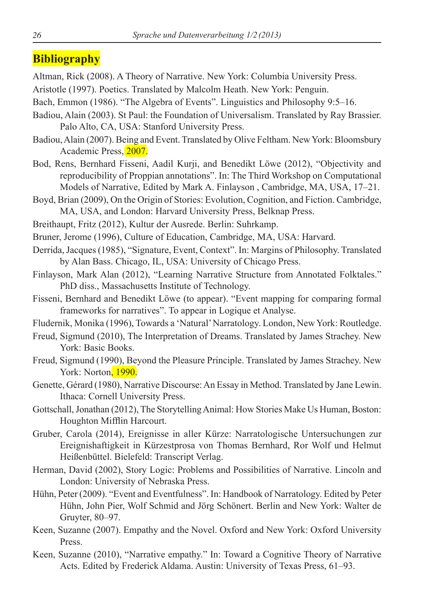# **Bibliography**

Altman, Rick (2008). A Theory of Narrative. New York: Columbia University Press.

Aristotle (1997). Poetics. Translated by Malcolm Heath. New York: Penguin.

- Bach, Emmon (1986). "The Algebra of Events". Linguistics and Philosophy 9:5–16.
- Badiou, Alain (2003). St Paul: the Foundation of Universalism. Translated by Ray Brassier. Palo Alto, CA, USA: Stanford University Press.
- Badiou, Alain (2007). Being and Event. Translated by Olive Feltham. New York: Bloomsbury Academic Press, 2007.
- Bod, Rens, Bernhard Fisseni, Aadil Kurji, and Benedikt Löwe (2012), "Objectivity and reproducibility of Proppian annotations". In: The Third Workshop on Computational Models of Narrative, Edited by Mark A. Finlayson , Cambridge, MA, USA, 17–21.
- Boyd, Brian (2009), On the Origin of Stories: Evolution, Cognition, and Fiction. Cambridge, MA, USA, and London: Harvard University Press, Belknap Press.
- Breithaupt, Fritz (2012), Kultur der Ausrede. Berlin: Suhrkamp.
- Bruner, Jerome (1996), Culture of Education, Cambridge, MA, USA: Harvard.
- Derrida, Jacques (1985), "Signature, Event, Context". In: Margins of Philosophy. Translated by Alan Bass. Chicago, IL, USA: University of Chicago Press.
- Finlayson, Mark Alan (2012), "Learning Narrative Structure from Annotated Folktales." PhD diss., Massachusetts Institute of Technology.
- Fisseni, Bernhard and Benedikt Löwe (to appear). "Event mapping for comparing formal frameworks for narratives". To appear in Logique et Analyse.

Fludernik, Monika (1996), Towards a 'Natural' Narratology. London, New York: Routledge.

- Freud, Sigmund (2010), The Interpretation of Dreams. Translated by James Strachey. New York: Basic Books.
- Freud, Sigmund (1990), Beyond the Pleasure Principle. Translated by James Strachey. New York: Norton, 1990.
- Genette, Gérard (1980), Narrative Discourse: An Essay in Method. Translated by Jane Lewin. Ithaca: Cornell University Press.
- Gottschall, Jonathan (2012), The Storytelling Animal: How Stories Make Us Human, Boston: Houghton Mifflin Harcourt.
- Gruber, Carola (2014), Ereignisse in aller Kürze: Narratologische Untersuchungen zur Ereignishaftigkeit in Kürzestprosa von Thomas Bernhard, Ror Wolf und Helmut Heißenbüttel. Bielefeld: Transcript Verlag.
- Herman, David (2002), Story Logic: Problems and Possibilities of Narrative. Lincoln and London: University of Nebraska Press.
- Hühn, Peter (2009). "Event and Eventfulness". In: Handbook of Narratology. Edited by Peter Hühn, John Pier, Wolf Schmid and Jörg Schönert. Berlin and New York: Walter de Gruyter, 80–97.
- Keen, Suzanne (2007). Empathy and the Novel. Oxford and New York: Oxford University Press.
- Keen, Suzanne (2010), "Narrative empathy." In: Toward a Cognitive Theory of Narrative Acts. Edited by Frederick Aldama. Austin: University of Texas Press, 61–93.